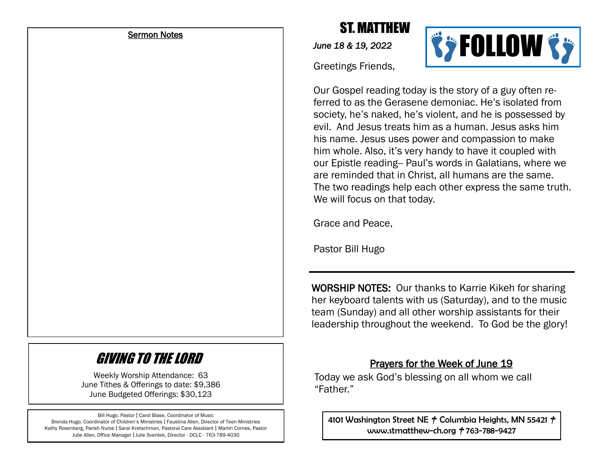#### Sermon Notes

# ST. MATTHEW

*June 18 & 19, 2022* 

Greetings Friends,



Our Gospel reading today is the story of a guy often referred to as the Gerasene demoniac. He's isolated from society, he's naked, he's violent, and he is possessed by evil. And Jesus treats him as a human. Jesus asks him his name. Jesus uses power and compassion to make him whole. Also, it's very handy to have it coupled with our Epistle reading-- Paul's words in Galatians, where we are reminded that in Christ, all humans are the same. The two readings help each other express the same truth. We will focus on that today.

Grace and Peace,

Pastor Bill Hugo

WORSHIP NOTES: Our thanks to Karrie Kikeh for sharing her keyboard talents with us (Saturday), and to the music team (Sunday) and all other worship assistants for their leadership throughout the weekend. To God be the glory!

## GIVING TO THE LORD

Weekly Worship Attendance: 63 June Tithes & Offerings to date: \$9,386 June Budgeted Offerings: \$30,123

Bill Hugo, Pastor **†** Carol Blase, Coordinator of Music Brenda Hugo, Coordinator of Children's Ministries **†** Faustina Allen, Director of Teen Ministries Kathy Rosenberg, Parish Nurse **†** Sarai Kretschman, Pastoral Care Assistant **†** Martin Cornes, Pastor Julie Allen, Office Manager **†** Julie Sventek, Director - DCLC - 763-789-4030

### Prayers for the Week of June 19

Today we ask God's blessing on all whom we call "Father"

4101 Washington Street NE **†** Columbia Heights, MN 55421 **†** www.stmatthew-ch.org **†** 763-788-9427